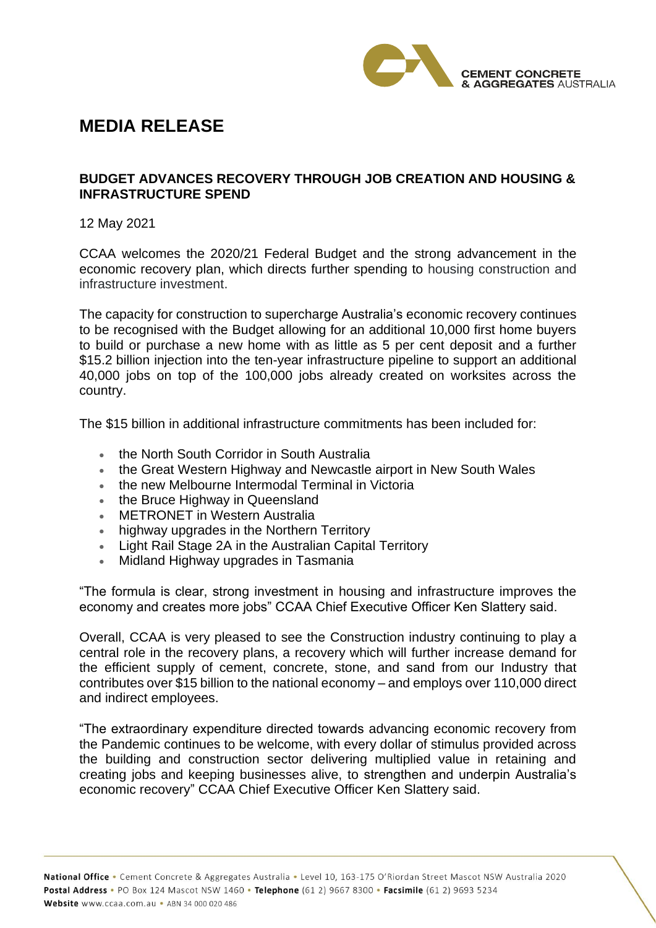

## **MEDIA RELEASE**

## **BUDGET ADVANCES RECOVERY THROUGH JOB CREATION AND HOUSING & INFRASTRUCTURE SPEND**

12 May 2021

CCAA welcomes the 2020/21 Federal Budget and the strong advancement in the economic recovery plan, which directs further spending to housing construction and infrastructure investment.

The capacity for construction to supercharge Australia's economic recovery continues to be recognised with the Budget allowing for an additional 10,000 first home buyers to build or purchase a new home with as little as 5 per cent deposit and a further \$15.2 billion injection into the ten-year infrastructure pipeline to support an additional 40,000 jobs on top of the 100,000 jobs already created on worksites across the country.

The \$15 billion in additional infrastructure commitments has been included for:

- the North South Corridor in South Australia
- the Great Western Highway and Newcastle airport in New South Wales
- the new Melbourne Intermodal Terminal in Victoria
- the Bruce Highway in Queensland
- METRONET in Western Australia
- highway upgrades in the Northern Territory
- Light Rail Stage 2A in the Australian Capital Territory
- Midland Highway upgrades in Tasmania

"The formula is clear, strong investment in housing and infrastructure improves the economy and creates more jobs" CCAA Chief Executive Officer Ken Slattery said.

Overall, CCAA is very pleased to see the Construction industry continuing to play a central role in the recovery plans, a recovery which will further increase demand for the efficient supply of cement, concrete, stone, and sand from our Industry that contributes over \$15 billion to the national economy – and employs over 110,000 direct and indirect employees.

"The extraordinary expenditure directed towards advancing economic recovery from the Pandemic continues to be welcome, with every dollar of stimulus provided across the building and construction sector delivering multiplied value in retaining and creating jobs and keeping businesses alive, to strengthen and underpin Australia's economic recovery" CCAA Chief Executive Officer Ken Slattery said.